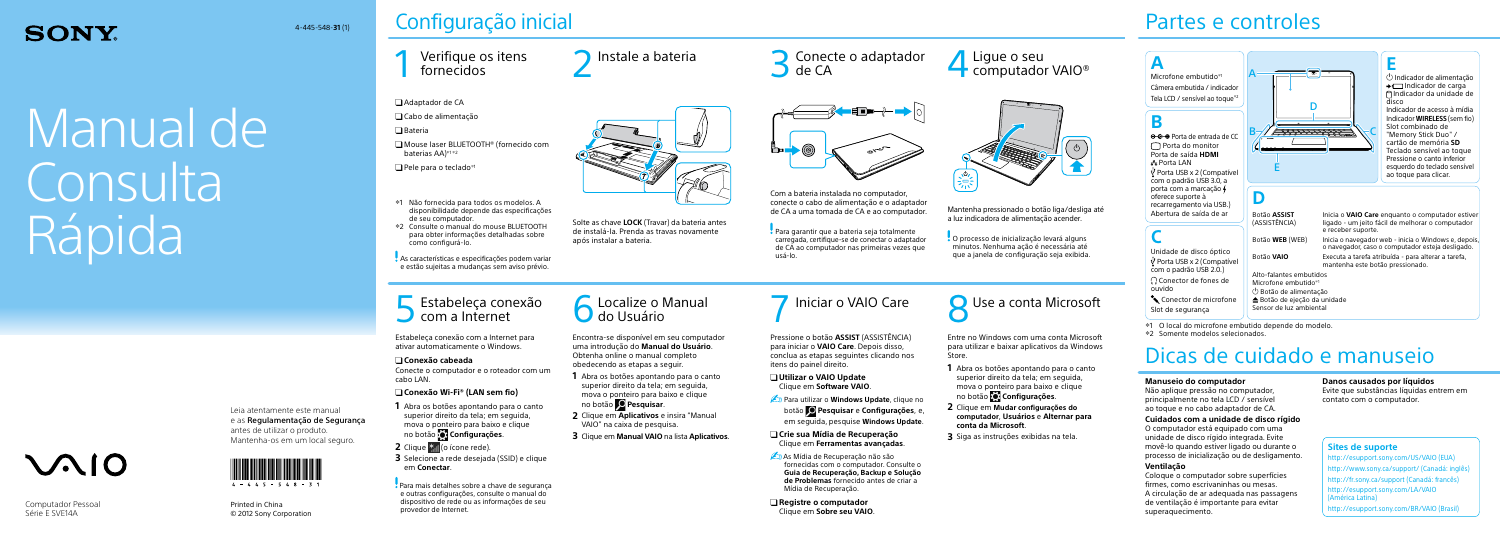Manual dei Consulta Rápida

# VAI0

Leia atentamente este manual e as Regulamentação de Segurança antes de utilizar o produto. Mantenha-os em um local seguro.



 Mouse laser BLUETOOTH® (fornecido com baterias  $AA$ <sup> $*1 *2$ </sup>

 $\Box$  Pele para o teclado<sup>\*1</sup>

## Configuração inicial

# Verifique os itens<br>fornecidos

Printed in China © 2012 Sony Corporation Adaptador de CA

Cabo de alimentação

 $\Box$  Bateria

## Partes e controles

Verifique os itens (1984) Instale a bateria de la Succede o adaptador de CA de CA de CA de CA de CA de CA de CA



Solte as chave **LOCK** (Travar) da bateria antes



 $n$ 

Com a bateria instalada no computador, conecte o cabo de alimentação e o adaptador de CA a uma tomada de CA e ao computador.

Para garantir que a bateria seja totalmente carregada, certifique-se de conectar o adaptador de CA ao computador nas primeiras vezes que

usá-lo.



# **SONY**

## 4-445-548-**31** (1)

- 1 Não fornecida para todos os modelos. A disponibilidade depende das especificações de seu computador.
- 2 Consulte o manual do mouse BLUETOOTH para obter informações detalhadas sobre como configurá-lo.

As características e especificações podem variar e estão sujeitas a mudanças sem aviso prévio.

Computador Pessoal Série E SVE14A

**Para utilizar o Windows Update**, clique no botão **Pesquisar** e **Configurações**, e, em seguida, pesquise **Windows Update**.

Estabeleça conexão com a Internet para ativar automaticamente o Windows.

## **Conexão cabeada**

**As Mídia de Recuperação não são** fornecidas com o computador. Consulte o **Guia de Recuperação, Backup e Solução de Problemas** fornecido antes de criar a Mídia de Recuperação.

Conecte o computador e o roteador com um cabo LAN.

## **Conexão Wi-Fi® (LAN sem fio)**

- **1** Abra os botões apontando para o canto superior direito da tela; em seguida, mova o ponteiro para baixo e clique no botão **Configurações**.
- **2** Clique  $*$  (o ícone rede).
- **3** Selecione a rede desejada (SSID) e clique em **Conectar**.

O processo de inicialização levará alguns minutos. Nenhuma ação é necessária até que a janela de configuração seja exibida.

 Para mais detalhes sobre a chave de segurança e outras configurações, consulte o manual do dispositivo de rede ou as informações de seu provedor de Internet.

Entre no Windows com uma conta Microsoft para utilizar e baixar aplicativos da Windows Store.





- **1** Abra os botões apontando para o canto superior direito da tela; em seguida, mova o ponteiro para baixo e clique no botão **Configurações**.
- **2** Clique em **Mudar configurações do computador**, **Usuários** e **Alternar para conta da Microsoft**.
- **3** Siga as instruções exibidas na tela.

## **A** Microfone embutido\*

Câmera embutida / indicador Tela LCD / sensível ao toque $*2$ **B**  $\Theta$  $\Theta$  Porta de entrada de CC Porta do monitor Porta de saída **HDMI** Porta LAN  $\Psi$  Porta USB x 2 (Compatível

Pressione o botão **ASSIST** (ASSISTÊNCIA) para iniciar o **VAIO Care**. Depois disso, conclua as etapas seguintes clicando nos itens do painel direito.

Conector de microfon Slot de segurança

#### **Utilizar o VAIO Update** Clique em **Software VAIO**.

#### **Crie sua Mídia de Recuperação** Clique em **Ferramentas avançadas**.

 **Registre o computador** Clique em **Sobre seu VAIO**.

Encontra-se disponível em seu computador uma introdução do **Manual do Usuário**. Obtenha online o manual completo

# obedecendo as etapas a seguir.

- **1** Abra os botões apontando para o canto superior direito da tela; em seguida, mova o ponteiro para baixo e clique
- **2** Clique em **Aplicativos** e insira "Manual VAIO" na caixa de pesquisa.
- **3** Clique em **Manual VAIO** na lista **Aplicativos**.









Mantenha pressionado o botão liga/desliga até a luz indicadora de alimentação acender.

## Dicas de cuidado e manuseio

#### **Manuseio do computador**

Não aplique pressão no computador, principalmente no tela LCD / sensível ao toque e no cabo adaptador de CA.

#### **Cuidados com a unidade de disco rígido**

O computador está equipado com uma unidade de disco rígido integrada. Evite movê-lo quando estiver ligado ou durante o processo de inicialização ou de desligamento.

#### **Ventilação**

Coloque o computador sobre superfícies firmes, como escrivaninhas ou mesas. A circulação de ar adequada nas passagens de ventilação é importante para evitar superaquecimento.

#### **Danos causados por líquidos**

Evite que substâncias líquidas entrem em contato com o computador.

## **Sites de suporte**

http://esupport.sony.com/US/VAIO (EUA) http://www.sony.ca/support/ (Canadá: inglês) http://fr.sony.ca/support (Canadá: francês) http://esupport.sony.com/LA/VAIO (América Latina) http://esupport.sony.com/BR/VAIO (Brasil)

6130\_ B A E C D

**C** Unidade de disco óptico  $\Psi$  Porta USB x 2 (Compatív com o padrão USB 2.0.) Conector de fones de ouvido

Abertura de saída de ar

com o padrão USB 3.0, a porta com a marcação oferece suporte à recarregamento via USB.) **D**

**E** Indicador de alimentação  $\rightarrow$  Indicador de carga Indicador da unidade de disco Indicador de acesso à mídia Indicador **WIRELESS** (sem fio) Slot combinado de "Memory Stick Duo" / cartão de memória **SD** Teclado sensível ao toque Pressione o canto inferior esquerdo do teclado sensível ao toque para clicar.

|     | Botão <b>ASSIST</b><br>(ASSISTÊNCIA) | Inicia o VAIO Care enguanto o computador estiver<br>ligado - um jeito fácil de melhorar o computador<br>e receber suporte. |  |
|-----|--------------------------------------|----------------------------------------------------------------------------------------------------------------------------|--|
|     | Botão WEB (WEB)                      | Inicia o navegador web - inicia o Windows e, depois,<br>o navegador, caso o computador esteja desligado.                   |  |
| ۱۹۱ | Botão VAIO                           | Executa a tarefa atribuída - para alterar a tarefa,<br>mantenha este botão pressionado.                                    |  |
|     | Alto-falantes embutidos              |                                                                                                                            |  |
|     | Microfone embutido*1                 |                                                                                                                            |  |
|     | $\circledcirc$ Botão de alimentação  |                                                                                                                            |  |
| ١e  | ▲ Botão de ejeção da unidade         |                                                                                                                            |  |
|     | Sensor de luz ambiental              |                                                                                                                            |  |

1 O local do microfone embutido depende do modelo.

2 Somente modelos selecionados.